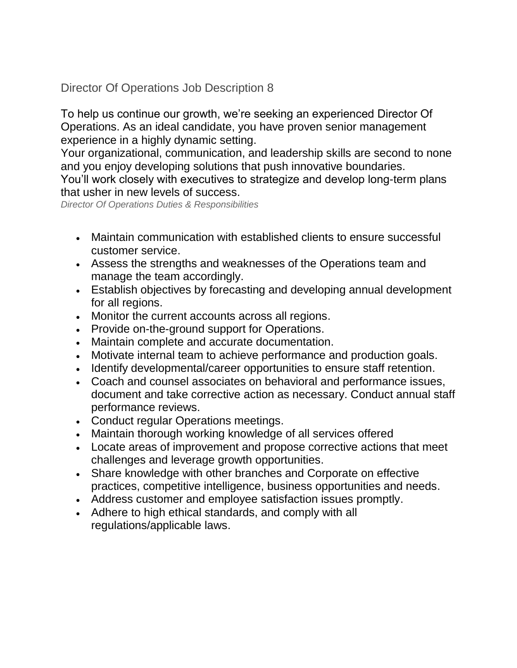Director Of Operations Job Description 8

To help us continue our growth, we're seeking an experienced Director Of Operations. As an ideal candidate, you have proven senior management experience in a highly dynamic setting.

Your organizational, communication, and leadership skills are second to none and you enjoy developing solutions that push innovative boundaries.

You'll work closely with executives to strategize and develop long-term plans that usher in new levels of success.

*Director Of Operations Duties & Responsibilities*

- Maintain communication with established clients to ensure successful customer service.
- Assess the strengths and weaknesses of the Operations team and manage the team accordingly.
- Establish objectives by forecasting and developing annual development for all regions.
- Monitor the current accounts across all regions.
- Provide on-the-ground support for Operations.
- Maintain complete and accurate documentation.
- Motivate internal team to achieve performance and production goals.
- Identify developmental/career opportunities to ensure staff retention.
- Coach and counsel associates on behavioral and performance issues, document and take corrective action as necessary. Conduct annual staff performance reviews.
- Conduct regular Operations meetings.
- Maintain thorough working knowledge of all services offered
- Locate areas of improvement and propose corrective actions that meet challenges and leverage growth opportunities.
- Share knowledge with other branches and Corporate on effective practices, competitive intelligence, business opportunities and needs.
- Address customer and employee satisfaction issues promptly.
- Adhere to high ethical standards, and comply with all regulations/applicable laws.